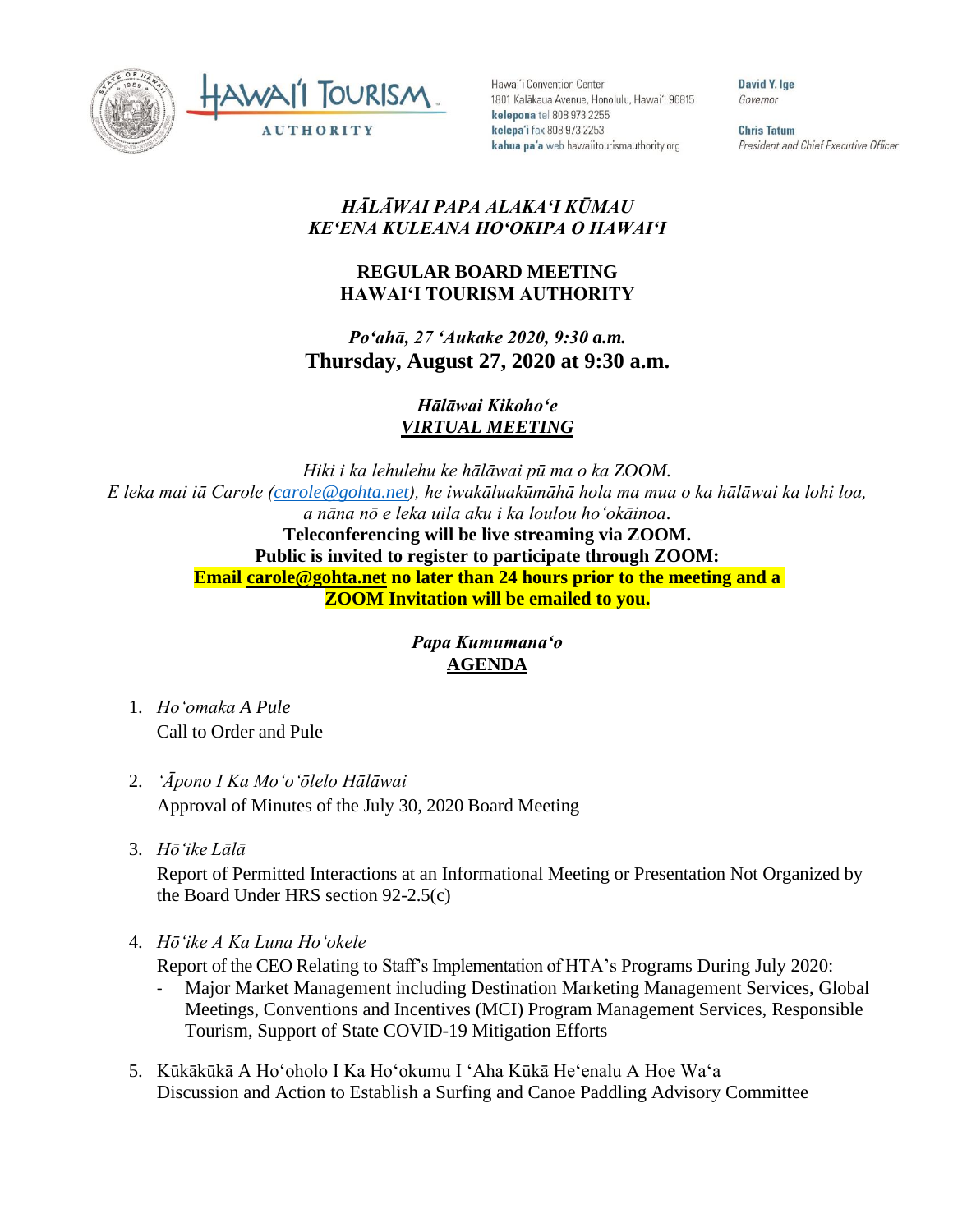



Hawai'i Convention Center 1801 Kalākaua Avenue, Honolulu, Hawai'i 96815 kelepona tel 808 973 2255 kelepa'i fax 808 973 2253 kahua pa'a web hawaiitourismauthority.org

David Y. lge Governor

**Chris Tatum** President and Chief Executive Officer

## *HĀLĀWAI PAPA ALAKAʻI KŪMAU KEʻENA KULEANA HOʻOKIPA O HAWAIʻI*

## **REGULAR BOARD MEETING HAWAI'I TOURISM AUTHORITY**

*Poʻahā, 27 ʻAukake 2020, 9:30 a.m.* **Thursday, August 27, 2020 at 9:30 a.m.**

> *Hālāwai Kikohoʻe VIRTUAL MEETING*

*Hiki i ka lehulehu ke hālāwai pū ma o ka ZOOM. E leka mai iā Carole [\(carole@gohta.net\)](mailto:carole@gohta.net), he iwakāluakūmāhā hola ma mua o ka hālāwai ka lohi loa, a nāna nō e leka uila aku i ka loulou hoʻokāinoa.*  **Teleconferencing will be live streaming via ZOOM. Public is invited to register to participate through ZOOM: Email [carole@gohta.net](mailto:carole@gohta.net) no later than 24 hours prior to the meeting and a ZOOM Invitation will be emailed to you.**

## *Papa Kumumanaʻo* **AGENDA**

- 1. *Ho'omaka A Pule* Call to Order and Pule
- 2. *ʻĀpono I Ka Moʻoʻōlelo Hālāwai* Approval of Minutes of the July 30, 2020 Board Meeting
- 3. *Hō'ike Lālā*

Report of Permitted Interactions at an Informational Meeting or Presentation Not Organized by the Board Under HRS section 92-2.5(c)

4. *Hōʻike A Ka Luna Hoʻokele*

Report of the CEO Relating to Staff's Implementation of HTA's Programs During July 2020:

- Major Market Management including Destination Marketing Management Services, Global Meetings, Conventions and Incentives (MCI) Program Management Services, Responsible Tourism, Support of State COVID-19 Mitigation Efforts
- 5. Kūkākūkā A Hoʻoholo I Ka Hoʻokumu I ʻAha Kūkā Heʻenalu A Hoe Waʻa Discussion and Action to Establish a Surfing and Canoe Paddling Advisory Committee